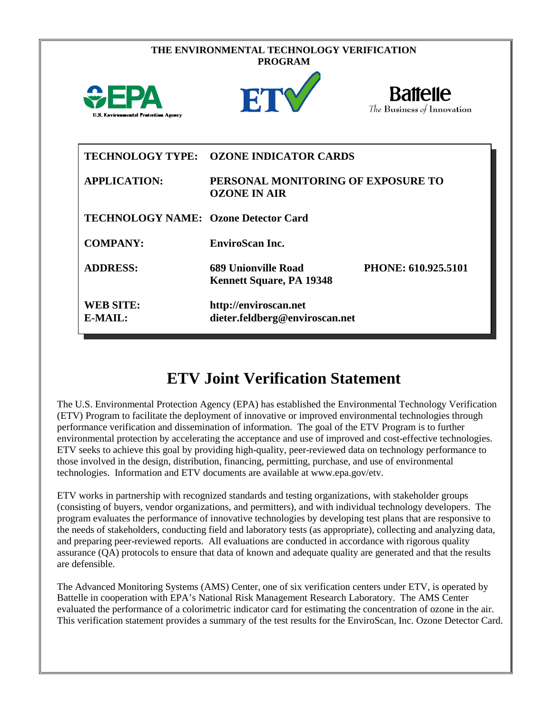| THE ENVIRONMENTAL TECHNOLOGY VERIFICATION<br><b>PROGRAM</b> |                                                               |                                               |  |  |  |  |
|-------------------------------------------------------------|---------------------------------------------------------------|-----------------------------------------------|--|--|--|--|
| WEPA<br><b>U.S. Environmental Protection Agency</b>         | ETY                                                           | <b>Battelle</b><br>The Business of Innovation |  |  |  |  |
| <b>TECHNOLOGY TYPE:</b>                                     | <b>OZONE INDICATOR CARDS</b>                                  |                                               |  |  |  |  |
| <b>APPLICATION:</b>                                         | PERSONAL MONITORING OF EXPOSURE TO<br><b>OZONE IN AIR</b>     |                                               |  |  |  |  |
| <b>TECHNOLOGY NAME: Ozone Detector Card</b>                 |                                                               |                                               |  |  |  |  |
| <b>COMPANY:</b>                                             | <b>EnviroScan Inc.</b>                                        |                                               |  |  |  |  |
| <b>ADDRESS:</b>                                             | <b>689 Unionville Road</b><br><b>Kennett Square, PA 19348</b> | PHONE: 610.925.5101                           |  |  |  |  |
| <b>WEB SITE:</b><br>E-MAIL:                                 | http://enviroscan.net<br>dieter.feldberg@enviroscan.net       |                                               |  |  |  |  |

## **ETV Joint Verification Statement**

The U.S. Environmental Protection Agency (EPA) has established the Environmental Technology Verification (ETV) Program to facilitate the deployment of innovative or improved environmental technologies through performance verification and dissemination of information. The goal of the ETV Program is to further environmental protection by accelerating the acceptance and use of improved and cost-effective technologies. ETV seeks to achieve this goal by providing high-quality, peer-reviewed data on technology performance to those involved in the design, distribution, financing, permitting, purchase, and use of environmental technologies. Information and ETV documents are available at www.epa.gov/etv.

ETV works in partnership with recognized standards and testing organizations, with stakeholder groups (consisting of buyers, vendor organizations, and permitters), and with individual technology developers. The program evaluates the performance of innovative technologies by developing test plans that are responsive to the needs of stakeholders, conducting field and laboratory tests (as appropriate), collecting and analyzing data, and preparing peer-reviewed reports. All evaluations are conducted in accordance with rigorous quality assurance (QA) protocols to ensure that data of known and adequate quality are generated and that the results are defensible.

The Advanced Monitoring Systems (AMS) Center, one of six verification centers under ETV, is operated by Battelle in cooperation with EPA's National Risk Management Research Laboratory. The AMS Center evaluated the performance of a colorimetric indicator card for estimating the concentration of ozone in the air. This verification statement provides a summary of the test results for the EnviroScan, Inc. Ozone Detector Card.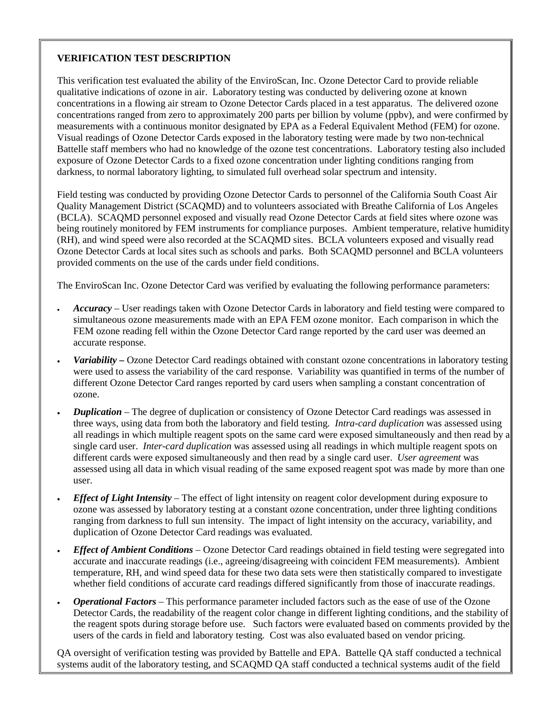## **VERIFICATION TEST DESCRIPTION**

This verification test evaluated the ability of the EnviroScan, Inc. Ozone Detector Card to provide reliable qualitative indications of ozone in air. Laboratory testing was conducted by delivering ozone at known concentrations in a flowing air stream to Ozone Detector Cards placed in a test apparatus. The delivered ozone concentrations ranged from zero to approximately 200 parts per billion by volume (ppbv), and were confirmed by measurements with a continuous monitor designated by EPA as a Federal Equivalent Method (FEM) for ozone. Visual readings of Ozone Detector Cards exposed in the laboratory testing were made by two non-technical Battelle staff members who had no knowledge of the ozone test concentrations. Laboratory testing also included exposure of Ozone Detector Cards to a fixed ozone concentration under lighting conditions ranging from darkness, to normal laboratory lighting, to simulated full overhead solar spectrum and intensity.

Field testing was conducted by providing Ozone Detector Cards to personnel of the California South Coast Air Quality Management District (SCAQMD) and to volunteers associated with Breathe California of Los Angeles (BCLA). SCAQMD personnel exposed and visually read Ozone Detector Cards at field sites where ozone was being routinely monitored by FEM instruments for compliance purposes. Ambient temperature, relative humidity (RH), and wind speed were also recorded at the SCAQMD sites. BCLA volunteers exposed and visually read Ozone Detector Cards at local sites such as schools and parks. Both SCAQMD personnel and BCLA volunteers provided comments on the use of the cards under field conditions.

The EnviroScan Inc. Ozone Detector Card was verified by evaluating the following performance parameters:

- *Accuracy* User readings taken with Ozone Detector Cards in laboratory and field testing were compared to simultaneous ozone measurements made with an EPA FEM ozone monitor. Each comparison in which the FEM ozone reading fell within the Ozone Detector Card range reported by the card user was deemed an accurate response.
- *Variability –* Ozone Detector Card readings obtained with constant ozone concentrations in laboratory testing were used to assess the variability of the card response. Variability was quantified in terms of the number of different Ozone Detector Card ranges reported by card users when sampling a constant concentration of ozone.
- *Duplication* The degree of duplication or consistency of Ozone Detector Card readings was assessed in three ways, using data from both the laboratory and field testing. *Intra-card duplication* was assessed using all readings in which multiple reagent spots on the same card were exposed simultaneously and then read by a single card user. *Inter-card duplication* was assessed using all readings in which multiple reagent spots on different cards were exposed simultaneously and then read by a single card user. *User agreement* was assessed using all data in which visual reading of the same exposed reagent spot was made by more than one user.
- *Effect of Light Intensity* The effect of light intensity on reagent color development during exposure to ozone was assessed by laboratory testing at a constant ozone concentration, under three lighting conditions ranging from darkness to full sun intensity. The impact of light intensity on the accuracy, variability, and duplication of Ozone Detector Card readings was evaluated.
- *Effect of Ambient Conditions* Ozone Detector Card readings obtained in field testing were segregated into accurate and inaccurate readings (i.e., agreeing/disagreeing with coincident FEM measurements). Ambient temperature, RH, and wind speed data for these two data sets were then statistically compared to investigate whether field conditions of accurate card readings differed significantly from those of inaccurate readings.
- *Operational Factors* This performance parameter included factors such as the ease of use of the Ozone Detector Cards, the readability of the reagent color change in different lighting conditions, and the stability of the reagent spots during storage before use. Such factors were evaluated based on comments provided by the users of the cards in field and laboratory testing. Cost was also evaluated based on vendor pricing.

QA oversight of verification testing was provided by Battelle and EPA. Battelle QA staff conducted a technical systems audit of the laboratory testing, and SCAQMD QA staff conducted a technical systems audit of the field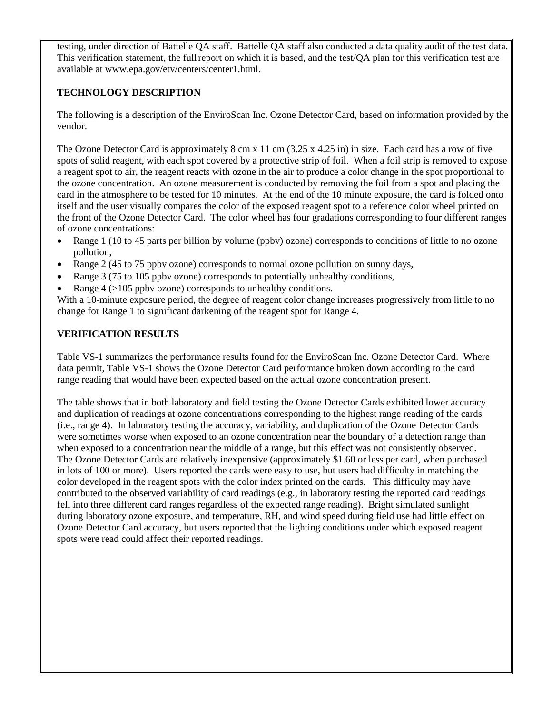testing, under direction of Battelle QA staff. Battelle QA staff also conducted a data quality audit of the test data. This verification statement, the full report on which it is based, and the test/QA plan for this verification test are available at www.epa.gov/etv/centers/center1.html.

## **TECHNOLOGY DESCRIPTION**

The following is a description of the EnviroScan Inc. Ozone Detector Card, based on information provided by the vendor.

The Ozone Detector Card is approximately 8 cm x 11 cm (3.25 x 4.25 in) in size. Each card has a row of five spots of solid reagent, with each spot covered by a protective strip of foil. When a foil strip is removed to expose a reagent spot to air, the reagent reacts with ozone in the air to produce a color change in the spot proportional to the ozone concentration. An ozone measurement is conducted by removing the foil from a spot and placing the card in the atmosphere to be tested for 10 minutes. At the end of the 10 minute exposure, the card is folded onto itself and the user visually compares the color of the exposed reagent spot to a reference color wheel printed on the front of the Ozone Detector Card. The color wheel has four gradations corresponding to four different ranges of ozone concentrations:

- Range 1 (10 to 45 parts per billion by volume (ppbv) ozone) corresponds to conditions of little to no ozone pollution,
- Range 2 (45 to 75 ppbv ozone) corresponds to normal ozone pollution on sunny days,
- Range 3 (75 to 105 ppbv ozone) corresponds to potentially unhealthy conditions,
- Range 4 (>105 ppby ozone) corresponds to unhealthy conditions.

With a 10-minute exposure period, the degree of reagent color change increases progressively from little to no change for Range 1 to significant darkening of the reagent spot for Range 4.

## **VERIFICATION RESULTS**

Table VS-1 summarizes the performance results found for the EnviroScan Inc. Ozone Detector Card. Where data permit, Table VS-1 shows the Ozone Detector Card performance broken down according to the card range reading that would have been expected based on the actual ozone concentration present.

The table shows that in both laboratory and field testing the Ozone Detector Cards exhibited lower accuracy and duplication of readings at ozone concentrations corresponding to the highest range reading of the cards (i.e., range 4). In laboratory testing the accuracy, variability, and duplication of the Ozone Detector Cards were sometimes worse when exposed to an ozone concentration near the boundary of a detection range than when exposed to a concentration near the middle of a range, but this effect was not consistently observed. The Ozone Detector Cards are relatively inexpensive (approximately \$1.60 or less per card, when purchased in lots of 100 or more). Users reported the cards were easy to use, but users had difficulty in matching the color developed in the reagent spots with the color index printed on the cards. This difficulty may have contributed to the observed variability of card readings (e.g., in laboratory testing the reported card readings fell into three different card ranges regardless of the expected range reading). Bright simulated sunlight during laboratory ozone exposure, and temperature, RH, and wind speed during field use had little effect on Ozone Detector Card accuracy, but users reported that the lighting conditions under which exposed reagent spots were read could affect their reported readings.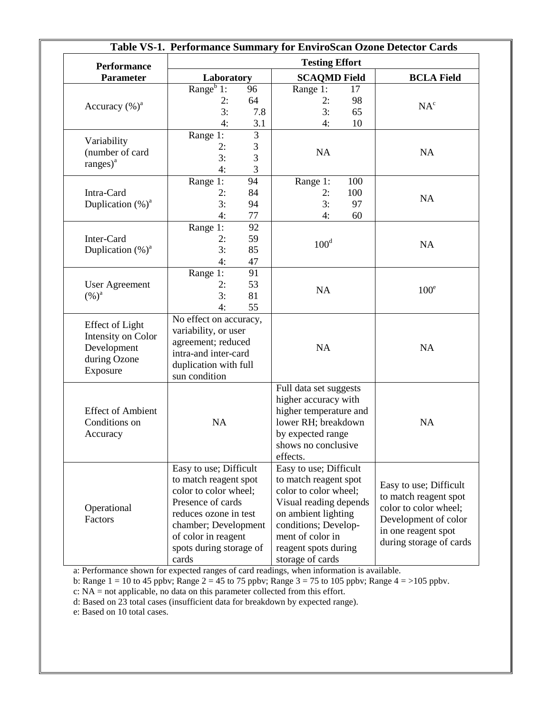|                                                                                         | Table VS-1. Performance Summary for EnviroScan Ozone Detector Cards                                                                                                                                       |                        |                                                                                                                                                                                                                   |                        |                                                                                                                                                    |
|-----------------------------------------------------------------------------------------|-----------------------------------------------------------------------------------------------------------------------------------------------------------------------------------------------------------|------------------------|-------------------------------------------------------------------------------------------------------------------------------------------------------------------------------------------------------------------|------------------------|----------------------------------------------------------------------------------------------------------------------------------------------------|
| <b>Performance</b>                                                                      |                                                                                                                                                                                                           |                        | <b>Testing Effort</b>                                                                                                                                                                                             |                        |                                                                                                                                                    |
| <b>Parameter</b>                                                                        | Laboratory                                                                                                                                                                                                |                        | <b>SCAQMD Field</b>                                                                                                                                                                                               |                        | <b>BCLA Field</b>                                                                                                                                  |
| Accuracy $(\%)^a$                                                                       | Range $\overline{1}$ :<br>2:<br>3:<br>4:                                                                                                                                                                  | 96<br>64<br>7.8<br>3.1 | Range 1:<br>2:<br>3:<br>4:                                                                                                                                                                                        | 17<br>98<br>65<br>10   | NA <sup>c</sup>                                                                                                                                    |
| Variability<br>(number of card<br>$ranges)^a$                                           | Range 1:<br>2:<br>3:<br>4:                                                                                                                                                                                | 3<br>3<br>3<br>3       | NA                                                                                                                                                                                                                |                        | NA                                                                                                                                                 |
| Intra-Card<br>Duplication $(\%)^a$                                                      | Range 1:<br>2:<br>3:<br>4:                                                                                                                                                                                | 94<br>84<br>94<br>77   | Range 1:<br>2:<br>3:<br>4:                                                                                                                                                                                        | 100<br>100<br>97<br>60 | NA                                                                                                                                                 |
| Inter-Card<br>Duplication $(\%)^a$                                                      | Range 1:<br>2:<br>3:<br>4:                                                                                                                                                                                | 92<br>59<br>85<br>47   | $100^d$                                                                                                                                                                                                           |                        | <b>NA</b>                                                                                                                                          |
| <b>User Agreement</b><br>$(%)^a$                                                        | Range 1:<br>2:<br>3:<br>4:                                                                                                                                                                                | 91<br>53<br>81<br>55   | <b>NA</b>                                                                                                                                                                                                         |                        | 100 <sup>e</sup>                                                                                                                                   |
| <b>Effect of Light</b><br>Intensity on Color<br>Development<br>during Ozone<br>Exposure | No effect on accuracy,<br>variability, or user<br>agreement; reduced<br>intra-and inter-card<br>duplication with full<br>sun condition                                                                    |                        | <b>NA</b>                                                                                                                                                                                                         |                        | NA                                                                                                                                                 |
| <b>Effect of Ambient</b><br>Conditions on<br>Accuracy                                   | NA                                                                                                                                                                                                        |                        | Full data set suggests<br>higher accuracy with<br>higher temperature and<br>lower RH; breakdown<br>by expected range<br>shows no conclusive<br>effects.                                                           |                        | NA                                                                                                                                                 |
| Operational<br>Factors                                                                  | Easy to use; Difficult<br>to match reagent spot<br>color to color wheel;<br>Presence of cards<br>reduces ozone in test<br>chamber; Development<br>of color in reagent<br>spots during storage of<br>cards |                        | Easy to use; Difficult<br>to match reagent spot<br>color to color wheel;<br>Visual reading depends<br>on ambient lighting<br>conditions; Develop-<br>ment of color in<br>reagent spots during<br>storage of cards |                        | Easy to use; Difficult<br>to match reagent spot<br>color to color wheel;<br>Development of color<br>in one reagent spot<br>during storage of cards |

a: Performance shown for expected ranges of card readings, when information is available.

b: Range  $1 = 10$  to 45 ppbv; Range  $2 = 45$  to 75 ppbv; Range  $3 = 75$  to 105 ppbv; Range  $4 = >105$  ppbv.

c: NA = not applicable, no data on this parameter collected from this effort.

d: Based on 23 total cases (insufficient data for breakdown by expected range).

e: Based on 10 total cases.